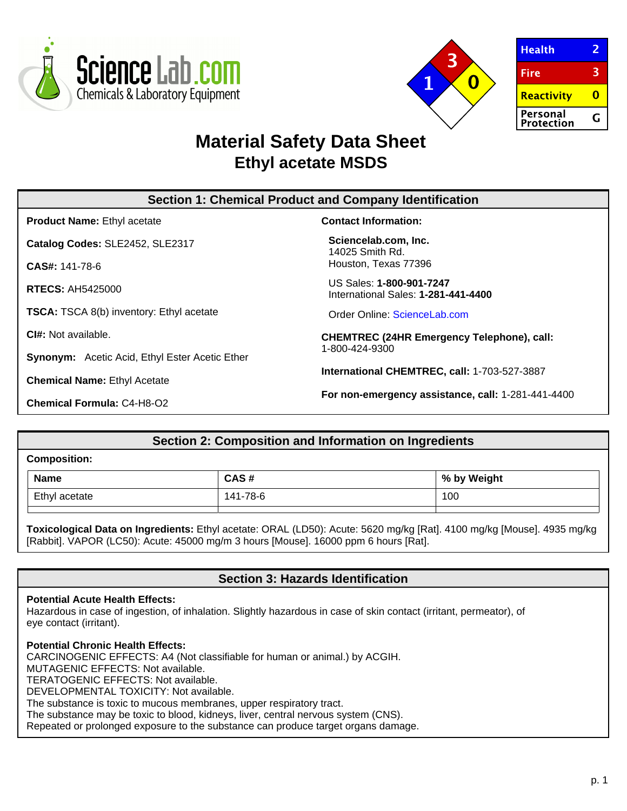



| <b>Health</b>          |    |
|------------------------|----|
| Fire                   | З  |
| Reactivity             | o  |
| Personal<br>Protection | ι. |

# **Material Safety Data Sheet Ethyl acetate MSDS**

| <b>Section 1: Chemical Product and Company Identification</b> |                                                                     |  |
|---------------------------------------------------------------|---------------------------------------------------------------------|--|
| <b>Product Name:</b> Ethyl acetate                            | <b>Contact Information:</b>                                         |  |
| Catalog Codes: SLE2452, SLE2317                               | Sciencelab.com, Inc.<br>14025 Smith Rd.                             |  |
| $CAS#: 141-78-6$                                              | Houston, Texas 77396                                                |  |
| <b>RTECS: AH5425000</b>                                       | US Sales: 1-800-901-7247<br>International Sales: 1-281-441-4400     |  |
| <b>TSCA:</b> TSCA 8(b) inventory: Ethyl acetate               | Order Online: ScienceLab.com                                        |  |
| <b>CI#:</b> Not available.                                    | <b>CHEMTREC (24HR Emergency Telephone), call:</b><br>1-800-424-9300 |  |
| <b>Synonym:</b> Acetic Acid, Ethyl Ester Acetic Ether         |                                                                     |  |
| <b>Chemical Name: Ethyl Acetate</b>                           | International CHEMTREC, call: 1-703-527-3887                        |  |
| <b>Chemical Formula: C4-H8-O2</b>                             | For non-emergency assistance, call: 1-281-441-4400                  |  |

### **Section 2: Composition and Information on Ingredients**

| <b>Composition:</b> |  |
|---------------------|--|
|---------------------|--|

| <b>Name</b>   | CAS#     | % by Weight |
|---------------|----------|-------------|
| Ethyl acetate | 141-78-6 | 100         |
|               |          |             |

**Toxicological Data on Ingredients:** Ethyl acetate: ORAL (LD50): Acute: 5620 mg/kg [Rat]. 4100 mg/kg [Mouse]. 4935 mg/kg [Rabbit]. VAPOR (LC50): Acute: 45000 mg/m 3 hours [Mouse]. 16000 ppm 6 hours [Rat].

### **Section 3: Hazards Identification**

#### **Potential Acute Health Effects:**

Hazardous in case of ingestion, of inhalation. Slightly hazardous in case of skin contact (irritant, permeator), of eye contact (irritant).

#### **Potential Chronic Health Effects:**

CARCINOGENIC EFFECTS: A4 (Not classifiable for human or animal.) by ACGIH. MUTAGENIC EFFECTS: Not available. TERATOGENIC EFFECTS: Not available. DEVELOPMENTAL TOXICITY: Not available. The substance is toxic to mucous membranes, upper respiratory tract. The substance may be toxic to blood, kidneys, liver, central nervous system (CNS). Repeated or prolonged exposure to the substance can produce target organs damage.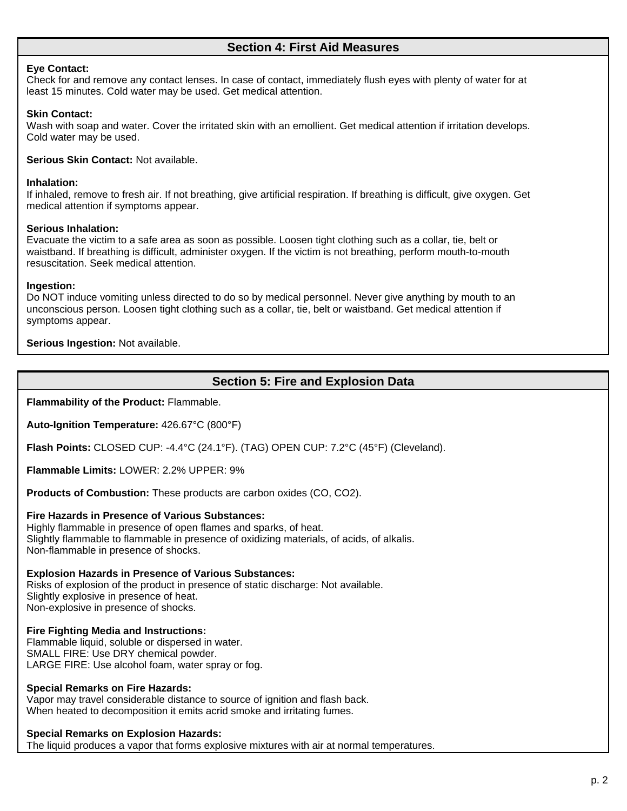### **Section 4: First Aid Measures**

#### **Eye Contact:**

Check for and remove any contact lenses. In case of contact, immediately flush eyes with plenty of water for at least 15 minutes. Cold water may be used. Get medical attention.

#### **Skin Contact:**

Wash with soap and water. Cover the irritated skin with an emollient. Get medical attention if irritation develops. Cold water may be used.

#### **Serious Skin Contact:** Not available.

#### **Inhalation:**

If inhaled, remove to fresh air. If not breathing, give artificial respiration. If breathing is difficult, give oxygen. Get medical attention if symptoms appear.

#### **Serious Inhalation:**

Evacuate the victim to a safe area as soon as possible. Loosen tight clothing such as a collar, tie, belt or waistband. If breathing is difficult, administer oxygen. If the victim is not breathing, perform mouth-to-mouth resuscitation. Seek medical attention.

#### **Ingestion:**

Do NOT induce vomiting unless directed to do so by medical personnel. Never give anything by mouth to an unconscious person. Loosen tight clothing such as a collar, tie, belt or waistband. Get medical attention if symptoms appear.

**Serious Ingestion:** Not available.

### **Section 5: Fire and Explosion Data**

**Flammability of the Product:** Flammable.

**Auto-Ignition Temperature:** 426.67°C (800°F)

**Flash Points:** CLOSED CUP: -4.4°C (24.1°F). (TAG) OPEN CUP: 7.2°C (45°F) (Cleveland).

**Flammable Limits:** LOWER: 2.2% UPPER: 9%

**Products of Combustion:** These products are carbon oxides (CO, CO2).

#### **Fire Hazards in Presence of Various Substances:**

Highly flammable in presence of open flames and sparks, of heat. Slightly flammable to flammable in presence of oxidizing materials, of acids, of alkalis. Non-flammable in presence of shocks.

**Explosion Hazards in Presence of Various Substances:**

Risks of explosion of the product in presence of static discharge: Not available. Slightly explosive in presence of heat. Non-explosive in presence of shocks.

#### **Fire Fighting Media and Instructions:**

Flammable liquid, soluble or dispersed in water. SMALL FIRE: Use DRY chemical powder. LARGE FIRE: Use alcohol foam, water spray or fog.

#### **Special Remarks on Fire Hazards:**

Vapor may travel considerable distance to source of ignition and flash back. When heated to decomposition it emits acrid smoke and irritating fumes.

#### **Special Remarks on Explosion Hazards:**

The liquid produces a vapor that forms explosive mixtures with air at normal temperatures.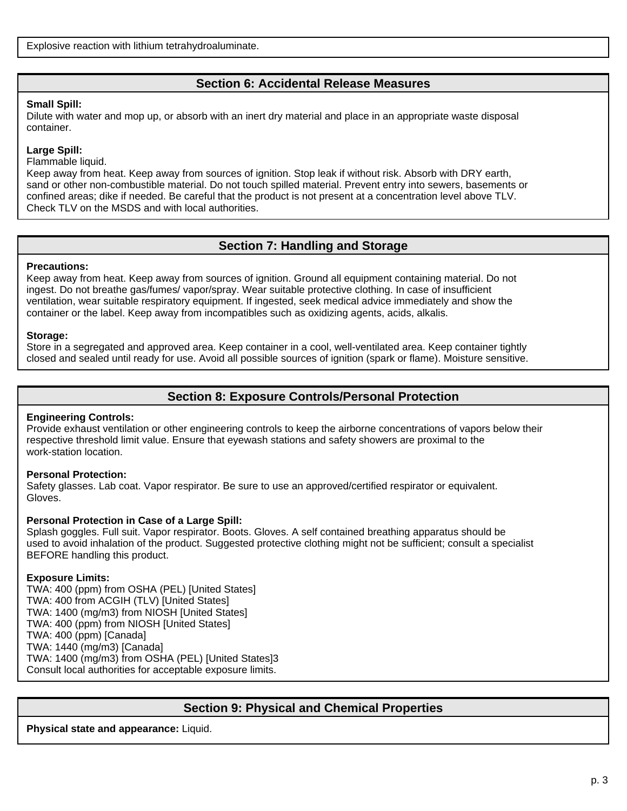### **Section 6: Accidental Release Measures**

#### **Small Spill:**

Dilute with water and mop up, or absorb with an inert dry material and place in an appropriate waste disposal container.

#### **Large Spill:**

Flammable liquid.

Keep away from heat. Keep away from sources of ignition. Stop leak if without risk. Absorb with DRY earth, sand or other non-combustible material. Do not touch spilled material. Prevent entry into sewers, basements or confined areas; dike if needed. Be careful that the product is not present at a concentration level above TLV. Check TLV on the MSDS and with local authorities.

### **Section 7: Handling and Storage**

#### **Precautions:**

Keep away from heat. Keep away from sources of ignition. Ground all equipment containing material. Do not ingest. Do not breathe gas/fumes/ vapor/spray. Wear suitable protective clothing. In case of insufficient ventilation, wear suitable respiratory equipment. If ingested, seek medical advice immediately and show the container or the label. Keep away from incompatibles such as oxidizing agents, acids, alkalis.

#### **Storage:**

Store in a segregated and approved area. Keep container in a cool, well-ventilated area. Keep container tightly closed and sealed until ready for use. Avoid all possible sources of ignition (spark or flame). Moisture sensitive.

### **Section 8: Exposure Controls/Personal Protection**

#### **Engineering Controls:**

Provide exhaust ventilation or other engineering controls to keep the airborne concentrations of vapors below their respective threshold limit value. Ensure that eyewash stations and safety showers are proximal to the work-station location.

#### **Personal Protection:**

Safety glasses. Lab coat. Vapor respirator. Be sure to use an approved/certified respirator or equivalent. Gloves.

#### **Personal Protection in Case of a Large Spill:**

Splash goggles. Full suit. Vapor respirator. Boots. Gloves. A self contained breathing apparatus should be used to avoid inhalation of the product. Suggested protective clothing might not be sufficient; consult a specialist BEFORE handling this product.

#### **Exposure Limits:**

TWA: 400 (ppm) from OSHA (PEL) [United States] TWA: 400 from ACGIH (TLV) [United States] TWA: 1400 (mg/m3) from NIOSH [United States] TWA: 400 (ppm) from NIOSH [United States] TWA: 400 (ppm) [Canada] TWA: 1440 (mg/m3) [Canada] TWA: 1400 (mg/m3) from OSHA (PEL) [United States]3 Consult local authorities for acceptable exposure limits.

### **Section 9: Physical and Chemical Properties**

**Physical state and appearance:** Liquid.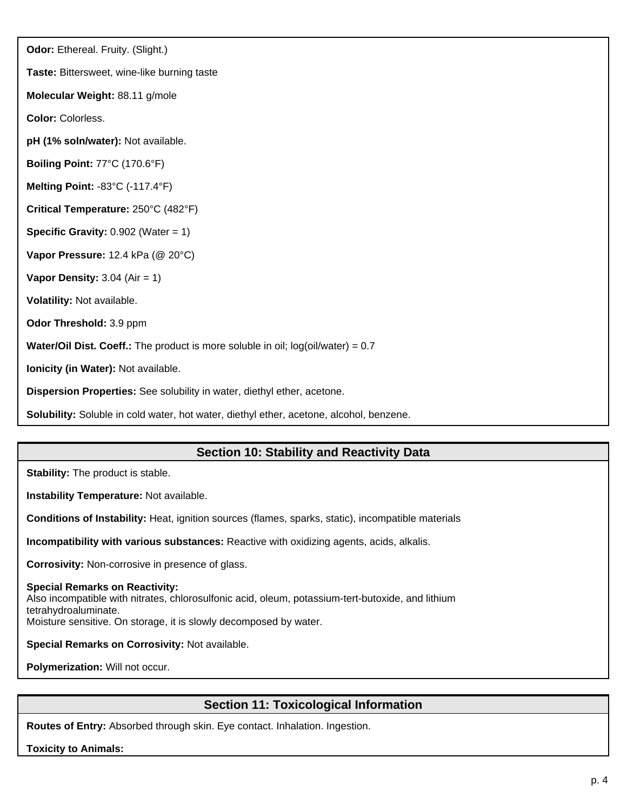**Odor:** Ethereal. Fruity. (Slight.) **Taste:** Bittersweet, wine-like burning taste **Molecular Weight:** 88.11 g/mole **Color:** Colorless. **pH (1% soln/water):** Not available. **Boiling Point:** 77°C (170.6°F) **Melting Point:** -83°C (-117.4°F) **Critical Temperature:** 250°C (482°F) **Specific Gravity:** 0.902 (Water = 1) **Vapor Pressure:** 12.4 kPa (@ 20°C) **Vapor Density:** 3.04 (Air = 1) **Volatility:** Not available. **Odor Threshold:** 3.9 ppm **Water/Oil Dist. Coeff.:** The product is more soluble in oil; log(oil/water) = 0.7 **Ionicity (in Water):** Not available. **Dispersion Properties:** See solubility in water, diethyl ether, acetone.

**Solubility:** Soluble in cold water, hot water, diethyl ether, acetone, alcohol, benzene.

# **Section 10: Stability and Reactivity Data**

**Stability:** The product is stable.

**Instability Temperature:** Not available.

**Conditions of Instability:** Heat, ignition sources (flames, sparks, static), incompatible materials

**Incompatibility with various substances:** Reactive with oxidizing agents, acids, alkalis.

**Corrosivity:** Non-corrosive in presence of glass.

**Special Remarks on Reactivity:** Also incompatible with nitrates, chlorosulfonic acid, oleum, potassium-tert-butoxide, and lithium tetrahydroaluminate. Moisture sensitive. On storage, it is slowly decomposed by water.

**Special Remarks on Corrosivity:** Not available.

**Polymerization:** Will not occur.

# **Section 11: Toxicological Information**

**Routes of Entry:** Absorbed through skin. Eye contact. Inhalation. Ingestion.

**Toxicity to Animals:**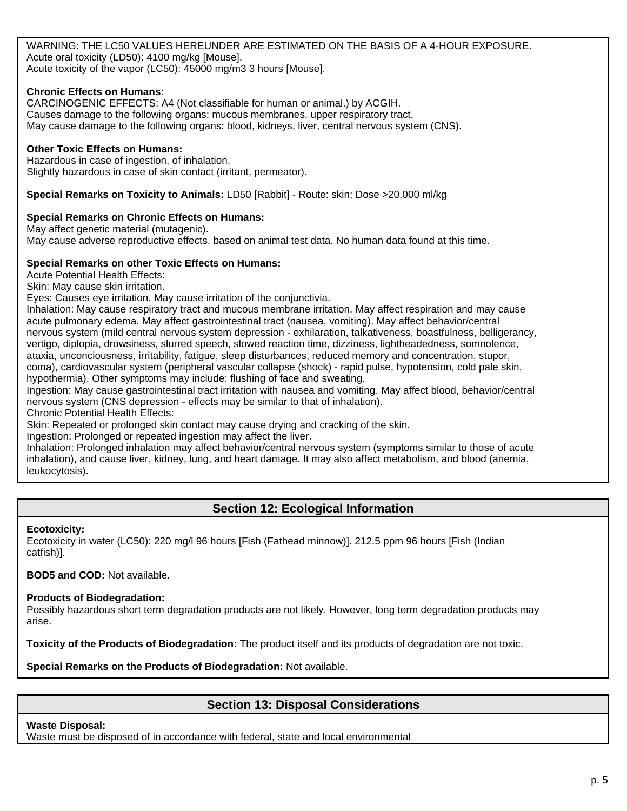WARNING: THE LC50 VALUES HEREUNDER ARE ESTIMATED ON THE BASIS OF A 4-HOUR EXPOSURE. Acute oral toxicity (LD50): 4100 mg/kg [Mouse]. Acute toxicity of the vapor (LC50): 45000 mg/m3 3 hours [Mouse].

#### **Chronic Effects on Humans:**

CARCINOGENIC EFFECTS: A4 (Not classifiable for human or animal.) by ACGIH. Causes damage to the following organs: mucous membranes, upper respiratory tract. May cause damage to the following organs: blood, kidneys, liver, central nervous system (CNS).

#### **Other Toxic Effects on Humans:**

Hazardous in case of ingestion, of inhalation. Slightly hazardous in case of skin contact (irritant, permeator).

**Special Remarks on Toxicity to Animals:** LD50 [Rabbit] - Route: skin; Dose >20,000 ml/kg

#### **Special Remarks on Chronic Effects on Humans:**

May affect genetic material (mutagenic). May cause adverse reproductive effects. based on animal test data. No human data found at this time.

#### **Special Remarks on other Toxic Effects on Humans:**

Acute Potential Health Effects:

Skin: May cause skin irritation.

Eyes: Causes eye irritation. May cause irritation of the conjunctivia.

Inhalation: May cause respiratory tract and mucous membrane irritation. May affect respiration and may cause acute pulmonary edema. May affect gastrointestinal tract (nausea, vomiting). May affect behavior/central nervous system (mild central nervous system depression - exhilaration, talkativeness, boastfulness, belligerancy, vertigo, diplopia, drowsiness, slurred speech, slowed reaction time, dizziness, lightheadedness, somnolence, ataxia, unconciousness, irritability, fatigue, sleep disturbances, reduced memory and concentration, stupor, coma), cardiovascular system (peripheral vascular collapse (shock) - rapid pulse, hypotension, cold pale skin, hypothermia). Other symptoms may include: flushing of face and sweating.

Ingestion: May cause gastrointestinal tract irritation with nausea and vomiting. May affect blood, behavior/central nervous system (CNS depression - effects may be similar to that of inhalation).

Chronic Potential Health Effects:

Skin: Repeated or prolonged skin contact may cause drying and cracking of the skin.

IngestIon: Prolonged or repeated ingestion may affect the liver.

Inhalation: Prolonged inhalation may affect behavior/central nervous system (symptoms similar to those of acute inhalation), and cause liver, kidney, lung, and heart damage. It may also affect metabolism, and blood (anemia, leukocytosis).

### **Section 12: Ecological Information**

#### **Ecotoxicity:**

Ecotoxicity in water (LC50): 220 mg/l 96 hours [Fish (Fathead minnow)]. 212.5 ppm 96 hours [Fish (Indian catfish)].

**BOD5 and COD:** Not available.

**Products of Biodegradation:**

Possibly hazardous short term degradation products are not likely. However, long term degradation products may arise.

**Toxicity of the Products of Biodegradation:** The product itself and its products of degradation are not toxic.

**Special Remarks on the Products of Biodegradation:** Not available.

### **Section 13: Disposal Considerations**

#### **Waste Disposal:**

Waste must be disposed of in accordance with federal, state and local environmental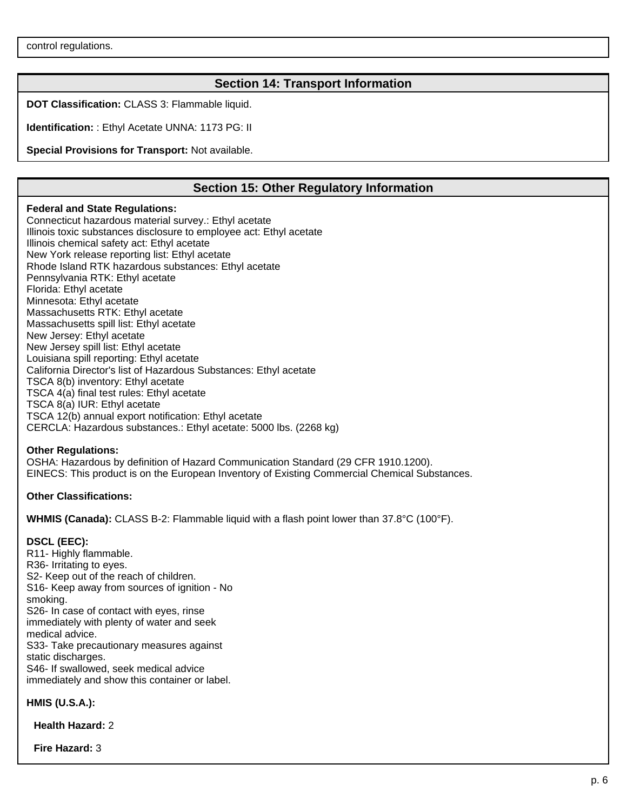### **Section 14: Transport Information**

**DOT Classification:** CLASS 3: Flammable liquid.

**Identification:** : Ethyl Acetate UNNA: 1173 PG: II

**Special Provisions for Transport:** Not available.

### **Section 15: Other Regulatory Information**

#### **Federal and State Regulations:**

Connecticut hazardous material survey.: Ethyl acetate Illinois toxic substances disclosure to employee act: Ethyl acetate Illinois chemical safety act: Ethyl acetate New York release reporting list: Ethyl acetate Rhode Island RTK hazardous substances: Ethyl acetate Pennsylvania RTK: Ethyl acetate Florida: Ethyl acetate Minnesota: Ethyl acetate Massachusetts RTK: Ethyl acetate Massachusetts spill list: Ethyl acetate New Jersey: Ethyl acetate New Jersey spill list: Ethyl acetate Louisiana spill reporting: Ethyl acetate California Director's list of Hazardous Substances: Ethyl acetate TSCA 8(b) inventory: Ethyl acetate TSCA 4(a) final test rules: Ethyl acetate TSCA 8(a) IUR: Ethyl acetate TSCA 12(b) annual export notification: Ethyl acetate CERCLA: Hazardous substances.: Ethyl acetate: 5000 lbs. (2268 kg)

#### **Other Regulations:**

OSHA: Hazardous by definition of Hazard Communication Standard (29 CFR 1910.1200). EINECS: This product is on the European Inventory of Existing Commercial Chemical Substances.

#### **Other Classifications:**

**WHMIS (Canada):** CLASS B-2: Flammable liquid with a flash point lower than 37.8°C (100°F).

#### **DSCL (EEC):**

R11- Highly flammable. R36- Irritating to eyes. S2- Keep out of the reach of children. S16- Keep away from sources of ignition - No smoking. S26- In case of contact with eyes, rinse immediately with plenty of water and seek medical advice. S33- Take precautionary measures against static discharges. S46- If swallowed, seek medical advice immediately and show this container or label.

**HMIS (U.S.A.):**

**Health Hazard:** 2

**Fire Hazard:** 3